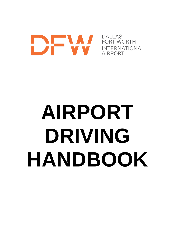# DALLAS<br>FORT WORTH<br>INTERNATIONAL<br>AIRPORT

**DALLAS** AIRPORT

# **AIRPORT DRIVING HANDBOOK**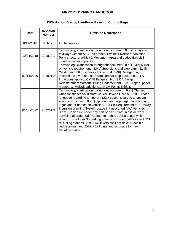# **DFW Airport Driving Handbook Revision Control Page**

| <b>Date</b> | <b>Revision</b><br><b>Number</b> | <b>Revision Description</b>                                                                                                                                                                                                                                                                                                                                                                                                                                                                                                                                                                                                                                                                                                                                                     |
|-------------|----------------------------------|---------------------------------------------------------------------------------------------------------------------------------------------------------------------------------------------------------------------------------------------------------------------------------------------------------------------------------------------------------------------------------------------------------------------------------------------------------------------------------------------------------------------------------------------------------------------------------------------------------------------------------------------------------------------------------------------------------------------------------------------------------------------------------|
| 8/17/2018   | <b>Publish</b>                   | Implementation                                                                                                                                                                                                                                                                                                                                                                                                                                                                                                                                                                                                                                                                                                                                                                  |
| 10/24/2018  | 201810.1                         | Terminology clarification throughout document. 8.b. iv) crossing<br>taxiways without ATCT clearance. Exhibit 1 Notice of Violation<br>Point structure, exhibit 2 Movement Area and added Exhibit 3<br>Taxilane crossing points.                                                                                                                                                                                                                                                                                                                                                                                                                                                                                                                                                 |
| 01/14/2020  | 202001.2                         | Terminology clarification throughout document. 8.a.iii.1&2) Mirror<br>on vehicle requirement. 8.b.v) Stop signs and stop bars. 8.c.ii)<br>Yield to aircraft pushback vehicle. 8.d.i.5&6) Disregarding<br>instructions given and stop signs and/or stop bars. 8.e.ii.1) SI<br>Infractions apply to CMAE flaggers. 9.b) SIDA Badge<br>Reinstatement Without Driving Endorsement. 9.2.i) Appeal panel<br>members. Multiple additions to NOV Points Exhibit.                                                                                                                                                                                                                                                                                                                        |
| 01/01/2022  | 202201.3                         | Terminology clarification throughout document. 6.a.i) Clarified<br>what constitutes valid state-issued Driver's License. 7.d.i) Added<br>language regarding temporary SIDA suspension due to unsafe<br>actions or conduct. 8.a.x) Updated language regarding company<br>logos and/or names on vehicles. 8.a.xii) Requirement for Runway<br>Incursion Warning System usage in unescorted AMA vehicles.<br>8.b.xi) No vehicle under any part of an aircraft unless actively<br>servicing aircraft. 8.d.i) Update to mobile device usage while<br>driving. 8.d.i.12.a) No parking areas to include tritulators and GSE<br>re-fueling stations. 8.d.i.16) Drivers shall not drive or act in a<br>reckless manner. Exhibit 1) Points and language for new<br><b>Violations added</b> |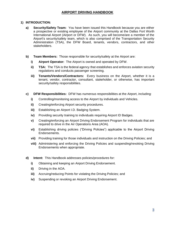# **1) INTRODUCTION:**

- **a) Security/Safety Team:** You have been issued this Handbook because you are either a prospective or existing employee of the Airport community at the Dallas Fort Worth International Airport (Airport or DFW). As such, you will become/are a member of the Airport's security/safety team, which is also comprised of the Transportation Security Administration (TSA), the DFW Board, tenants, vendors, contractors, and other stakeholders.
- **b) Team Members:** Those responsible for security/safety at the Airport are:
	- **i) Airport Operator:** The Airport is owned and operated by DFW.
	- **ii) TSA:** The TSA is the federal agency that establishes and enforces aviation security regulations and conducts passenger screening.
	- **iii) Tenants/Vendors/Contractors:** Every business on the Airport, whether it is a tenant, vendor, contractor, consultant, stakeholder, or otherwise, has important security/safety responsibilities.
- **c) DFW Responsibilities:** DFW has numerous responsibilities at the Airport, including:
	- **i)** Controlling/monitoring access to the Airport by individuals and Vehicles.
	- **ii)** Creating/enforcing Airport security procedures.
	- **iii)** Establishing an Airport I.D. Badging System.
	- **iv)** Providing security training to individuals requiring Airport ID Badges.
	- **v)** Creating/enforcing an Airport Driving Endorsement Program for individuals that are required to drive in the Air Operations Area (AOA).
	- **vi)** Establishing driving policies ("Driving Policies") applicable to the Airport Driving Endorsements.
	- **vii)** Providing training for those individuals and instruction on the Driving Policies; and
	- **viii)** Administering and enforcing the Driving Policies and suspending/revoking Driving Endorsements when appropriate.
- **d) Intent:** This Handbook addresses policies/procedures for:
	- **i)** Obtaining and keeping an Airport Driving Endorsement.
	- **ii)** Driving in the AOA.
	- **iii)** Accruing/reducing Points for violating the Driving Policies; and
	- **iv)** Suspending or revoking an Airport Driving Endorsement.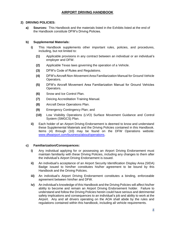### **2) DRIVING POLICIES:**

**a) Sources:** This Handbook and the materials listed in the Exhibits listed at the end of the Handbook constitute DFW's Driving Policies.

### **b) Supplemental Materials:**

- **i)** This Handbook supplements other important rules, policies, and procedures, including, but not limited to:
	- **(1)** Applicable provisions in any contract between an individual or an individual's employer and DFW.
	- **(2)** Applicable Texas laws governing the operation of a Vehicle.
	- **(3)** DFW's Code of Rules and Regulations.
	- **(4)** DFW's Aircraft Non-Movement Area Familiarization Manual for Ground Vehicle Operators.
	- **(5)** DFW's Aircraft Movement Area Familiarization Manual for Ground Vehicles Operators.
	- **(6)** Snow and Ice Control Plan.
	- **(7)** Deicing Accreditation Training Manual.
	- **(8)** Aircraft Deice Operations Plan.
	- **(9)** Emergency Contingency Plan; and
	- **(10)** Low Visibility Operations (LVO) Surface Movement Guidance and Control System (SMGCS) Plan.
- **ii)** Each holder of an Airport Driving Endorsement is deemed to know and understand these Supplemental Materials and the Driving Policies contained in this Handbook. Items (4) through (10) may be found on the DFW Operations website: [www.dfwairport.com/business/about/operations.](http://www.dfwairport.com/operations)

### **c) Familiarization/Consequences:**

- **i)** Any individual applying for or possessing an Airport Driving Endorsement must maintain familiarity with these Driving Policies, including any changes to them after the individual's Airport Driving Endorsement is issued.
- **ii)** An individual's acceptance of an Airport Security Identification Display Area (SIDA) Badge issued to him/her constitutes his/her agreement to be bound by this Handbook and the Driving Policies.
- **iii)** An individual's Airport Driving Endorsement constitutes a binding, enforceable agreement between him/her and DFW.
- **iv)** An individual's knowledge of this Handbook and the Driving Policies will affect his/her ability to become and remain an Airport Driving Endorsement holder. Failure to understand and follow the Driving Policies herein could have serious and detrimental safety implications and consequences to an individual's job and ability to work at the Airport. Any and all drivers operating on the AOA shall abide by the rules and regulations contained within this handbook, including all vehicle requirements.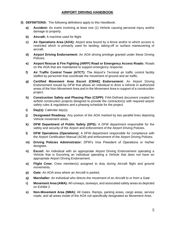- **3) DEFINITIONS:** The following definitions apply to this Handbook:
	- **a) Accident:** An event involving at least one (1) Vehicle causing personal injury and/or damage to property.
	- **b) Aircraft:** A machine used for flight.
	- **c) Air Operations Area (AOA):** Airport area bound by a fence and/or to which access is restricted which is primarily used for landing, taking-off or surface maneuvering of aircraft.
	- **d) Airport Driving Endorsement:** An AOA driving privilege granted under these Driving Policies.
	- **e) Airport Rescue & Fire Fighting (ARFF) Road or Emergency Access Roads:** Roads on the AOA that are maintained to support emergency response.
	- **f) Air Traffic Control Tower (ATCT):** The Airport's Terminal air traffic control facility staffed by personnel that coordinate the movement of ground and air traffic.
	- **g) Certified Movement Area Escort (CMAE) Endorsement:** An Airport Driving Endorsement issued by DFW that allows an individual to drive a Vehicle in authorized areas of the Non-Movement Area and in the Movement Area in support of a construction project.
	- **h) Construction Safety and Phasing Plan (CSPP):** FAA-Defined document created for airfield construction projects designed to provide the contractor(s) with required airport safety rules & regulations and a phasing schedule for the project.
	- **i) Day(s):** Calendar day(s).
	- **j) Designated Roadway:** Any portion of the AOA marked by two parallel lines depicting Vehicle movement areas.
	- **k) DFW Department of Public Safety (DPS):** A DFW department responsible for the safety and security of the Airport and enforcement of the Airport Driving Policies.
	- **l) DFW Operations (Operations):** A DFW department responsible for compliance with the Airport Certification Manual (ACM) and enforcement of the Airport Driving Policies.
	- **m) Driving Policies Administrator:** DFW's Vice President of Operations or his/her designee.
	- **n) Escort:** An individual with an appropriate Airport Driving Endorsement operating a Vehicle that is Escorting an individual operating a Vehicle that does not have an appropriate Airport Driving Endorsement.
	- **o) Flight Crew:** Crew member(s) assigned to duty during Aircraft flight and ground movements.
	- **p) Gate:** An AOA area where an Aircraft is parked.
	- **q) Marshaller:** An individual who directs the movement of an Aircraft to or from a Gate.
	- **r) Movement Area (AMA):** All runways, taxiways, and associated safety areas as depicted on Exhibit 2.
	- **s) Non-Movement Area (NMA):** All Gates, Ramps, parking areas, cargo areas, service roads, and all areas inside of the AOA not specifically designated as Movement Area.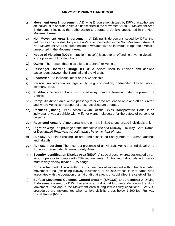- **t) Movement Area Endorsement:** A Driving Endorsement issued by DFW that authorizes an individual to operate a Vehicle unescorted in the Movement Area. A Movement Area Endorsement includes the authorization to operate a Vehicle unescorted in the Non-Movement Area.
- **u) Non-Movement Area Endorsement:** A Driving Endorsement issued by DFW that authorizes an individual to operate a Vehicle unescorted in the Non-Movement Area. A Non-Movement Area Endorsement does *not* authorize an individual to operate a Vehicle unescorted in the Movement Area.
- **v) Notice of Violation (NOV):** Infraction notice(s) issued to an offending driver in violation to the policies of this Handbook
- **w) Owner:** The Person that holds title to an Aircraft or Vehicle.
- **x) Passenger Boarding Bridge (PBB):** A device used to enplane and deplane passengers between the Terminal and the Aircraft.
- **y) Pedestrian:** An individual afoot or in a wheelchair.
- **z) Person:** An individual or legal entity (e.g. corporation, partnership, limited liability company, etc.).
- **aa) Pushback:** When an Aircraft is pushed away from the Terminal under the power of a Vehicle.
- **bb) Ramp:** An Airport area where passengers or cargo are loaded onto and off an Aircraft and where Vehicles in support of those activities are operated.
- **cc) Reckless (Driving)**: Per Section 545.401 of the Texas Transportation Code, is an individual drives a vehicle with willful or wanton disregard for the safety of persons or property.
- **dd) Restricted Area:** An Airport area where entry is limited to authorized individuals only.
- **ee) Right-of-Way:** The privilege of the immediate use of a Runway, Taxiway, Gate, Ramp, or Designated Roadway. *Aircraft always have the right-of-way.*
- **ff) Runway:** A defined rectangular area and associated Safety Area for Aircraft landings and takeoffs.
- **gg) Runway Incursion:** The incorrect presence of an Aircraft, Vehicle or individual on a Runway or associated Runway Safety Area.
- **hh) Security Identification Display Area (SIDA):** A special security area designated by an airport operator to comply with TSA requirements. Authorized individuals in this area must visibly display his/her SIDA badge.
- **ii) Surface Incident:** The unauthorized or unapproved movement within the designated movement area (excluding runway incursions) or an occurrence in that same area associated with the operation of an aircraft that affects or could affect the safety of flight.
- **jj) Surface Movement Guidance Control System (SMGCS) Endorsement:** A Driving Endorsement issued by DFW that allows an individual to drive a Vehicle in the Non-Movement Area and in the Movement Area during low visibility conditions. SMGCS procedures are implemented when airfield visibility drops below 1,200 feet Runway Visual Range (RVR).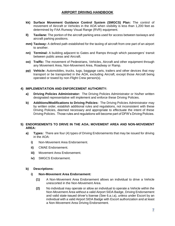- **kk) Surface Movement Guidance Control System (SMGCS) Plan:** The control of movement of Aircraft or Vehicles in the AOA when visibility is less than 1,200 feet as determined by FAA Runway Visual Range (RVR) equipment.
- **ll) Taxilane:** The portion of the aircraft parking area used for access between taxiways and aircraft parking positions.
- **mm) Taxiway:** A defined path established for the taxiing of aircraft from one part of an airport to another.
- **nn) Terminal:** A building adjacent to Gates and Ramps through which passengers' transit between public areas and Aircraft.
- **oo) Traffic:** The movement of Pedestrians, Vehicles, Aircraft and other equipment through any Movement Area, Non-Movement Area, Roadway or Ramp.
- **pp) Vehicle:** Automobiles, trucks, tugs, baggage carts, trailers and other devices that may transport or be transported in the AOA, excluding Aircraft, except those Aircraft being operated or towed by non-Flight Crew person(s).

### **4) IMPLEMENTATION AND ENFORCEMENT AUTHORITY:**

- **a) Driving Policies Administrator:** The Driving Policies Administrator or his/her written designated representative will implement and enforce these Driving Policies.
- **b) Additions/Modifications to Driving Policies:** The Driving Policies Administrator may by written order, establish additional rules and regulations, not inconsistent with these Driving Policies, deemed necessary and appropriate to effectuate the intent of these Driving Policies. Those rules and regulations will become part of DFW's Driving Policies.

### **5) ENDORSEMENTS TO DRIVE IN THE AOA; MOVEMENT AREA AND NON-MOVEMENT AREA:**

- **a) Types:** There are four (4) types of Driving Endorsements that may be issued for driving in the AOA:
	- **i)** Non-Movement Area Endorsement.
	- **ii)** CMAE Endorsement.
	- **iii)** Movement Area Endorsement.
	- **iv)** SMGCS Endorsement.

### **b) Descriptions:**

### **i) Non-Movement Area Endorsement:**

- **(1)** A Non-Movement Area Endorsement allows an individual to drive a Vehicle unescorted in the Non-Movement Area.
- **(2)** No individual may operate or allow an individual to operate a Vehicle within the Non-Movement Area without a valid Airport SIDA Badge, Driving Endorsement and valid state-issued driver's license (See 6.a.i.a), unless under Escort by an individual with a valid Airport SIDA Badge with Escort authorization and at least a Non-Movement Area Driving Endorsement.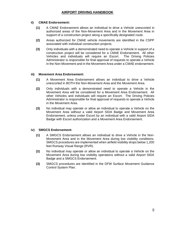# **ii) CMAE Endorsement:**

- **(1)** A CMAE Endorsement allows an individual to drive a Vehicle unescorted in authorized areas of the Non-Movement Area and in the Movement Area in support of a construction project along a specifically designated route.
- **(2)** Areas authorized for CMAE vehicle movements are identified in the CSPP associated with individual construction projects.
- **(3)** Only individuals with a demonstrated need to operate a Vehicle in support of a construction project will be considered for a CMAE Endorsement. All other Vehicles and individuals will require an Escort. The Driving Policies Administrator is responsible for final approval of requests to operate a Vehicle in the Non-Movement and in the Movement Area under a CMAE endorsement.

### **iii) Movement Area Endorsement:**

- **(1)** A Movement Area Endorsement allows an individual to drive a Vehicle unescorted in BOTH the Non-Movement Area and the Movement Area.
- **(2)** Only individuals with a demonstrated need to operate a Vehicle in the Movement Area will be considered for a Movement Area Endorsement. All other Vehicles and individuals will require an Escort. The Driving Policies Administrator is responsible for final approval of requests to operate a Vehicle in the Movement Area.
- **(3)** No individual may operate or allow an individual to operate a Vehicle on the Movement Area without a valid Airport SIDA Badge and Movement Area Endorsement, unless under Escort by an individual with a valid Airport SIDA Badge with Escort authorization and a Movement Area Endorsement.

# **iv) SMGCS Endorsement:**

- **(1)** A SMGCS Endorsement allows an individual to drive a Vehicle in the Non-Movement Area and in the Movement Area during low visibility conditions. SMGCS procedures are implemented when airfield visibility drops below 1,200 feet Runway Visual Range (RVR).
- **(2)** No individual may operate or allow an individual to operate a Vehicle on the Movement Area during low visibility operations without a valid Airport SIDA Badge and a SMGCS Endorsement.
- **(3)** SMGCS procedures are identified in the DFW Surface Movement Guidance Control System Plan.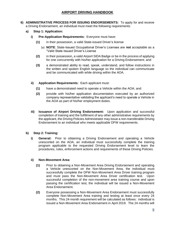- **6) ADMINISTRATIVE PROCESS FOR ISSUING ENDORSEMENTS:** To apply for and receive a Driving Endorsement, an individual must meet the following requirements:
	- **a) Step 1: Application:**
		- **i) Pre-Application Requirements:** Everyone must have:
			- **(1)** in their possession, a valid State-issued Driver's license
				- (a) **NOTE**: State-Issued Occupational Driver's Licenses are **not** acceptable as a "Valid State-Issued Driver's License
			- **(2)** in their possession, a valid Airport SIDA Badge or be in the process of applying for one concurrently with his/her application for a Driving Endorsement; and
			- **(3)** a demonstrated ability to read, speak, understand, and follow instructions in the written and spoken English language so the individual can communicate and be communicated with while driving within the AOA.
		- **ii) Application Requirements:** Each applicant must:
			- **(1)** have a demonstrated need to operate a Vehicle within the AOA; and
			- **(2)** provide with his/her application documentation executed by an authorized company representative validating the applicant's need to operate a Vehicle in the AOA as part of his/her employment duties.
		- **iii) Issuance of Airport Driving Endorsement:** Upon application and successful completion of training and the fulfillment of any other administrative requirements by the applicant, the Driving Policies Administrator may issue a non-transferable Driving Endorsement to an individual who meets applicable DFW requirements.

### **b) Step 2: Training:**

**i) General:** Prior to obtaining a Driving Endorsement and operating a Vehicle unescorted on the AOA, an individual must successfully complete the training program applicable to the requested Driving Endorsement level to learn the procedures, rules, enforcement actions and requirements of these Driving Policies.

### **ii) Non-Movement Area:**

- **(1)** Prior to obtaining a Non-Movement Area Driving Endorsement and operating a Vehicle unescorted on the Non-Movement Area, the individual must successfully complete the DFW Non-Movement Area Driver training program and must pass the Non-Movement Area Driver certification test. Upon successful completion of the non-movement area training course and upon passing the certification test, the individual will be issued a Non-Movement Area Endorsement.
- **(2)** Everyone possessing a Non-Movement Area Endorsement must successfully complete Non-Movement Area training and testing at least once every 24 months. This 24-month requirement will be calculated as follows: individual is issued a Non-Movement Area Endorsement in April 2019. The 24 months will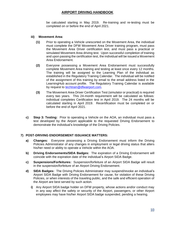be calculated starting in May 2019. Re-training and re-testing must be completed on or before the end of April 2021.

### **iii) Movement Area:**

- **(1)** Prior to operating a Vehicle unescorted on the Movement Area, the individual must complete the DFW Movement Area Driver training program, must pass the Movement Area Driver certification test, and must pass a practical or simulated Movement Area driving test. Upon successful completion of training and upon passing the certification test, the individual will be issued a Movement Area Endorsement.
- **(2)** Everyone possessing a Movement Area Endorsement must successfully complete Movement Area training and testing at least once every 12 months. The training will be assigned to the Learning Plan of the individual as established in the Regulatory Training Calendar. The individual will be notified of the assignment of this training by email to the email address listed in the LearningHub account profile. The Regulatory Training Calendar is available by request to [techtrain@dfwairport.com.](mailto:techtrain@dfwairport.com)
- **(3)** The Movement Area Driver Certification Test (simulator or practical) is required every two years. This 24-month requirement will be calculated as follows: individual completes Certification test in April 2019. The 24 months will be calculated starting in April 2019. Recertification must be completed on or before the end of April 2021.
- **c) Step 3: Testing:** Prior to operating a Vehicle on the AOA, an individual must pass a test developed by the Airport applicable to the requested Driving Endorsement to demonstrate the individual's knowledge of the Driving Policies.

# **7) POST-DRIVING ENDORSEMENT ISSUANCE MATTERS:**

- **a) Changes:** Everyone possessing a Driving Endorsement must inform the Driving Policies Administrator of any changes in employment or legal driving status that alters his/her need or ability to operate a Vehicle within the AOA.
- **b) Driving Endorsements/SIDA Badges:** The expiration of a Driving Endorsement will coincide with the expiration date of the individual's Airport SIDA Badge.
- **c) Suspensions/Forfeitures:** Suspension/forfeiture of an Airport SIDA Badge will result in the suspension/forfeiture of an Airport Driving Endorsement.
- **d) SIDA Badges:** The Driving Policies Administrator may suspend/revoke an individual's Airport SIDA Badge with Driving Endorsement for cause, for violation of these Driving Policies, or when interests of the traveling public, and the safe and efficient operation of the Airport are best served by such action.
	- **i)** Any Airport SIDA badge holder on DFW property, whose actions and/or conduct may in any way affect the safety or security of the Airport, passengers, or other Airport employees may have his/her Airport SIDA badge suspended, pending a hearing.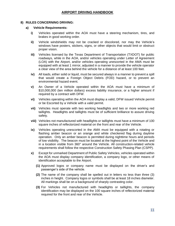### **8) RULES CONCERNING DRIVING:**

### **a) Vehicle Requirements:**

- **i)** Vehicles operated within the AOA must have a steering mechanism, tires, and brakes in good working order.
- **ii)** Vehicle windshields may not be cracked or discolored, nor may the Vehicle's windows have posters, stickers, signs, or other objects that would limit or obstruct proper vision.
- **iii)** Vehicles licensed by the Texas Department of Transportation (TXDOT) for public roadways, while in the AOA, and/or vehicles operating under Letter of Agreement (LOA) with the Airport, and/or vehicles operating unescorted in the AMA must be equipped with at least 1 mirror, adjusted in a manner to provide the vehicle operator a clear view of the area behind the vehicle for a distance of at least 100 feet.
- **iv)** All loads, either solid or liquid, must be secured always in a manner to prevent a spill that would create a Foreign Object Debris (FOD) hazard, or to prevent an environmental hazard event.
- **v)** An Owner of a Vehicle operated within the AOA must have a minimum of \$10,000,000 (ten million dollars) excess liability insurance, or a higher amount if required by a contract with DFW.
- **vi)** Vehicles operating within the AOA must display a valid, DFW issued Vehicle permit or be Escorted by a Vehicle with a valid permit.
- **vii)** Vehicles must operate with two working headlights and two or more working red taillights. Headlights and taillights must be of sufficient brilliance to assure driving safety.
- **viii)** Vehicles not manufactured with headlights or taillights must have a minimum of 100 square inches of reflectorized material on the front and rear of the Vehicle.
- **ix)** Vehicles operating unescorted in the AMA must be equipped with a rotating or flashing amber beacon or an orange and white checkered flag during daytime operation. Only an amber beacon is permitted during nighttime hours and periods of low visibility. The beacon must be located at the highest point of the Vehicle and in a location visible from 360° around the Vehicle. All construction-related vehicle requirements shall follow the respective Construction Safety Phasing Plan (CSPP).
- **x)** Except for unmarked Department of Public Safety Vehicles, vehicles operated within the AOA must display company identification, a company logo, or other means of identification acceptable to the Airport.
	- **(1)** Approved logos or company name must be displayed on the driver's and passenger's side of the vehicle.
	- **(2)** The name of the company shall be spelled out in letters no less than three (3) inches in height. Company logos or symbols shall be at least 18 inches diameter. All markings shall be on a background of sharply contrasting color.
	- **(3)** For Vehicles not manufactured with headlights or taillights, the company identification may be displayed on the 100 square inches of reflectorized material required for the front and rear of the Vehicle.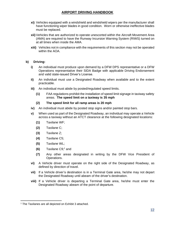- **xi)** Vehicles equipped with a windshield and windshield wipers per the manufacturer shall have functioning wiper blades in good condition. Worn or otherwise ineffective blades must be replaced.
- **xii)** Vehicles that are authorized to operate unescorted within the Aircraft Movement Area (AMA) are required to have the Runway Incursion Warning System (RIWS) turned on at all times when inside the AMA.
- **xiii)** Vehicles not in compliance with the requirements of this section may not be operated within the AOA.

### **b) Driving:**

- **i)** An individual must produce upon demand by a DFW DPS representative or a DFW Operations representative their SIDA Badge with applicable Driving Endorsement and valid state-issued Driver's License.
- **ii)** An individual must use a Designated Roadway when available and to the extent practicable.
- **iii)** An individual must abide by posted/regulated speed limits.
	- **(1)** FAA regulations prohibit the installation of speed limit signage in taxiway safety areas. **The speed limit on a taxiway is 35 mph**

### **(2) The speed limit for all ramp areas is 20 mph**

- **iv)** An individual must abide by posted stop signs and/or painted stop bars.
- **v)** When used as part of the Designated Roadway, an individual may operate a Vehicle across a taxiway without an ATCT clearance at the following designated locations:
	- **(1)** Taxilane WF;
	- **(2)** Taxilane C;
	- **(3)** Taxilane Z;
	- **(4)** Taxilane C5;
	- **(5)** Taxilane WL;
	- **(6)** Taxilane C9;<sup>1</sup> and
	- **(7)** Any other areas designated in writing by the DFW Vice President of Operations.
- **vi)** A Vehicle driver must operate on the right side of the Designated Roadway, as defined by direction of travel.
- **vii)** If a Vehicle driver's destination is in a Terminal Gate area, he/she may not depart the Designated Roadway until abeam of the driver's destination.
- **viii)** If a Vehicle driver is departing a Terminal Gate area, he/she must enter the Designated Roadway abeam of the point of departure.

<sup>1</sup> The Taxilanes are all depicted on Exhibit 3 attached.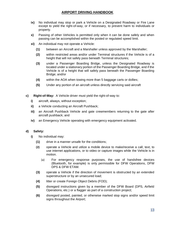- **ix)** No individual may stop or park a Vehicle on a Designated Roadway or Fire Lane except to yield the right-of-way, or if necessary, to prevent harm to individuals or property.
- **x)** Passing of other Vehicles is permitted only when it can be done safely and when passing can be accomplished within the posted or regulated speed limit.
- **xi)** An individual may not operate a Vehicle:
	- **(1)** between an Aircraft and a Marshaller unless approved by the Marshaller;
	- **(2)** within restricted areas and/or under Terminal structures if the Vehicle is of a height that will not safely pass beneath Terminal structures;
	- **(3)** under a Passenger Boarding Bridge, unless the Designated Roadway is located under a stationary portion of the Passenger Boarding Bridge, and if the Vehicle is of a height that will safely pass beneath the Passenger Boarding Bridge; and/or
	- **(4)** within the AOA when towing more than 5 baggage carts or dollies;
	- **(5)** Under any portion of an aircraft unless directly servicing said aircraft
- **c) Right-of-Way:** A Vehicle driver must yield the right-of-way to:
	- **i)** aircraft, always, without exception;
	- **ii)** a Vehicle conducting an Aircraft Pushback;
	- **iii)** an Aircraft Pushback Vehicle and gate crewmembers returning to the gate after aircraft pushback; and
	- **iv)** an Emergency Vehicle operating with emergency equipment activated.

### **d) Safety:**

- **i)** No individual may:
	- **(1)** drive in a manner unsafe for the conditions;
	- **(2)** operate a Vehicle and utilize a mobile device to make/receive a call, text, to use internet applications, or to video or capture images while the Vehicle is in motion.
		- (a) For emergency response purposes, the use of handsfree devices (Bluetooth, for example) is only permissible for DFW Operations, DFW DPS & DFW ETAM.
	- **(3)** operate a Vehicle if the direction of movement is obstructed by an extended superstructure or by an unsecured load;
	- **(4)** litter or create Foreign Object Debris (FOD);
	- **(5)** disregard instructions given by a member of the DFW Board (DPS, Airfield Operations, etc.) or a flagger as part of a construction project;
	- **(6)** disregard posted, painted, or otherwise marked stop signs and/or speed limit signs throughout the Airport;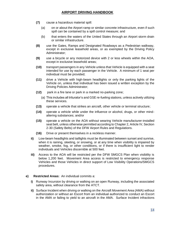- **(7)** cause a hazardous material spill:
	- (a) on or about the Airport ramp or similar concrete infrastructure, even if such spill can be contained by a spill control measure; and
	- (b) that enters the waters of the United States through an Airport storm drain or similar infrastructure.
- **(8)** use the Gates, Ramps and Designated Roadways as a Pedestrian walkway, except in exclusive leasehold areas, or as exempted by the Driving Policy Administrator;
- **(9)** use a bicycle or any motorized device with 2 or less wheels within the AOA, except in exclusive leasehold areas;
- **(10)** transport passengers in any Vehicle unless that Vehicle is equipped with a seat intended for use by each passenger in the Vehicle. A minimum of 1 seat per individual must be provided;
- **(11)** drive a Vehicle with high-beam headlights or only the parking lights of the Vehicle on, unless that individual has been issued a written exception by the Driving Policies Administrator;
- **(12)** park in a fire lane or park in a marked no-parking zone;
	- (a) This includes all triturator's and GSE re-fueling stations, unless actively utilizing these services.
- **(13)** operate a vehicle that strikes an aircraft, other vehicle or terminal structure;
- **(14)** operate a vehicle while under the influence or alcohol, drugs, or other mindaltering substances; and/or
- **(15)** operate a vehicle on the AOA without wearing Vehicle manufacturer-installed seat belt, unless otherwise permitted according to Chapter 2, Article IV, Section 2-30 (Safety Belts) of the DFW Airport Rules and Regulations.
- **(16)** Drive or present themselves in a reckless manner.
- **ii)** Low-beam headlights and taillights must be illuminated between sunset and sunrise, when it is raining, sleeting, or snowing, or at any time when visibility is impaired by weather, smoke, fog, or other conditions, or if there is insufficient light to render individuals and Vehicles discernible at 500 feet.
- **iii)** Access to the AOA will be restricted per the DFW SMGCS Plan when visibility is below 1,200 feet. Movement Area access is restricted to emergency response Vehicles and those Vehicles in direct support of Low Visibility Operations/SMGCS procedures.

### **e) Restricted Areas:** An individual commits a:

- **i)** Runway Incursion by driving or walking on an open Runway, including the associated safety area, without clearance from the ATCT.
- **ii)** Surface Incident when driving or walking on the Aircraft Movement Area (AMA) without authorization or without an Escort from an individual authorized to conduct an Escort in the AMA or failing to yield to an aircraft in the AMA. Surface Incident infractions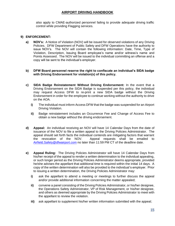also apply to CMAE-authorized personnel failing to provide adequate driving traffic control while providing Flagging services.

### **9) ENFORCEMENT:**

**a) NOV's:** A Notice of Violation (NOV) will be issued for observed violations of any Driving Policies. DFW Department of Public Safety and DFW Operations have the authority to issue NOV's. The NOV will contain the following information: Date, Time, Type of Violation, Description, Issuing Board employee's name and/or witness's name and Points Assessed. The NOV will be issued to the individual committing an offense and a copy will be sent to the individual's employer.

### **b) DFW Board personnel reserve the right to confiscate an individual's SIDA badge with Driving Endorsement for violation(s) of this policy.**

- **c) SIDA Badge Reinstatement Without Driving Endorsement:** In the event that a Driving Endorsement on the SIDA Badge is suspended per this policy, the individual may request Access DFW to re-print a new SIDA badge without the Driving Endorsement in order for the employee to continue working without the authority to drive on the AOA.
	- **i)** The individual must inform Access DFW that the badge was suspended for an Airport Driving Violation.
	- **ii)** Badge reinstatement includes an Occurrence Fee and Change of Access Fee to obtain a new badge without the driving endorsement.
- **d) Appeal:** An individual receiving an NOV will have 14 Calendar Days from the date of issuance of the NOV to file a written appeal to the Driving Policies Administrator. The appeal should set forth facts the individual contends are mitigating factors that warrant the revocation of the NOV. Appeal requests shall be emailed to [Airfield.Safety@dfwairport.com](mailto:Airfield.Safety@dfwairport.com) no later than 11:59 PM CT of the deadline date.
- **e) Appeal Ruling:** The Driving Policies Administrator will have 14 Calendar Days from his/her receipt of the appeal to render a written determination to the individual appealing, or such longer period as the Driving Policies Administrator deems appropriate, provided he/she advises the appellant that additional time is required within the initial 14 days. A copy of the written determination will also be provided to the individual's employer. Prior to issuing a written determination, the Driving Policies Administrator may:
	- **i)** ask the appellant to attend a meeting or meetings to further discuss the appeal and/or provide additional information concerning the matter appealed;
	- **ii)** convene a panel consisting of the Driving Policies Administrator, or his/her designee, the Operations Safety Administrator, VP of Risk Management, or his/her designee, and others as deemed appropriate by the Driving Policies Administrator to meet with the appellant to review the violation.
	- **iii)** ask appellant to supplement his/her written information submitted with the appeal;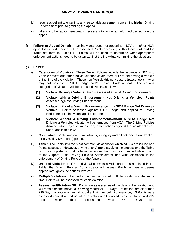- **iv)** require appellant to enter into any reasonable agreement concerning his/her Driving Endorsement prior to granting the appeal;
- **v)** take any other action reasonably necessary to render an informed decision on the appeal.
- **f) Failure to Appeal/Denial:** If an individual does not appeal an NOV or his/her NOV appeal is denied, he/she will be assessed Points according to this Handbook and the Table set forth in Exhibit 1. Points will be used to determine what appropriate enforcement actions need to be taken against the individual committing the violation.

### **g) Points:**

- **i) Categories of Violators:** These Driving Policies include the issuance of NOV's to Vehicle drivers and other individuals that violate them but are not driving a Vehicle at the time of the violation. These non-Vehicle driving violators (passenger) may or may not possess a SIDA Badge and/or Driving Endorsement. The various categories of violators will be assessed Points as follows:
	- **(1) Violator Driving a Vehicle:** Points assessed against Driving Endorsement.
	- **(2) Violator with a Driving Endorsement Not Driving a Vehicle:** Points assessed against Driving Endorsement.
	- **(3) Violator without a Driving Endorsement/with a SIDA Badge Not Driving a Vehicle:** Points assessed against SIDA Badge and applied to Driving Endorsement if individual applies for one.
	- **(4) Violator without a Driving Endorsement/without a SIDA Badge Not Driving a Vehicle:** Violator will be removed from AOA. The Driving Policies Administrator may also impose any other actions against the violator allowed under applicable laws.
- **ii) Cumulative:** Violations are cumulative by category and all categories are tracked for a 730-day (24-month) period.
- **iii) Table:** The Table lists the most common violations for which NOV's are issued and Points assessed. However, driving at an Airport is a dynamic process and the Table is not a complete list of all potential violations that may be committed while driving at the Airport. The Driving Policies Administrator has wide discretion in the enforcement of Driving Policies at the Airport.
- **iv) Unlisted Violations:** If an individual commits a violation that is not listed in the Table, the Driving Policies Administrator will assess Points as he/she deems appropriate, given the actions involved.
- **v) Multiple Violations:** If an individual has committed multiple violations at the same time, Points will be assessed for each violation.
- **vi) Assessment/Rotation Off:** Points are assessed as of the date of the violation and will remain on the individual's driving record for 730 Days. Points that are older than 730 Days will rotate off an individual's driving record. For instance, if 3 Points were assessed against an individual for a violation, all 3 would rotate off the individual's record when their assessment was 731 Days old.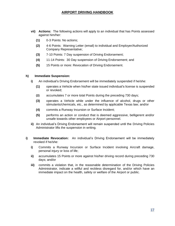- **vii) Actions:** The following actions will apply to an individual that has Points assessed against him/her:
	- **(1)** 0-3 Points: No actions;
	- **(2)** 4-6 Points: Warning Letter (email) to individual and Employer/Authorized Company Representative;
	- **(3)** 7-10 Points: 7 Day suspension of Driving Endorsement;
	- **(4)** 11-14 Points: 30 Day suspension of Driving Endorsement; and
	- **(5)** 15 Points or more: Revocation of Driving Endorsement.

### **h) Immediate Suspension:**

- **i)** An individual's Driving Endorsement will be immediately suspended if he/she:
	- **(1)** operates a Vehicle when his/her state issued individual's license is suspended or revoked;
	- **(2)** accumulates 7 or more total Points during the preceding 730 days;
	- **(3)** operates a Vehicle while under the influence of alcohol, drugs or other stimulants/chemicals, etc., as determined by applicable Texas law; and/or
	- **(4)** commits a Runway Incursion or Surface Incident;
	- **(5)** performs an action or conduct that is deemed aggressive, belligerent and/or unsafe towards other employees or Airport personnel.
- **ii)** An individual's Driving Endorsement will remain suspended until the Driving Policies Administrator lifts the suspension in writing.
- **i) Immediate Revocation:** An individual's Driving Endorsement will be immediately revoked if he/she:
	- **i)** Commits a Runway Incursion or Surface Incident involving Aircraft damage, personal injury or loss of life;
	- **ii)** accumulates 15 Points or more against his/her driving record during preceding 730 days; and/or
	- **iii)** commits a violation that, in the reasonable determination of the Driving Policies Administrator, indicate a willful and reckless disregard for, and/or which have an immediate impact on the health, safety or welfare of the Airport or public.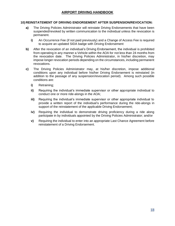### **10) REINSTATEMENT OF DRIVING ENDORSEMENT AFTER SUSPENSION/REVOCATION:**

- **a)** The Driving Policies Administrator will reinstate Driving Endorsements that have been suspended/revoked by written communication to the individual unless the revocation is permanent.
	- **i)** An Occurrence Fee (if not paid previously) and a Change of Access Fee is required to acquire an updated SIDA badge with Driving Endorsement
- **b)** After the revocation of an individual's Driving Endorsement, the individual is prohibited from operating in any manner a Vehicle within the AOA for not less than 24 months from the revocation date. The Driving Policies Administrator, in his/her discretion, may impose longer revocation periods depending on the circumstances, including permanent revocations.
- **c)** The Driving Policies Administrator may, at his/her discretion, impose additional conditions upon any individual before his/her Driving Endorsement is reinstated (in addition to the passage of any suspension/revocation period). Among such possible conditions are:
	- **i)** Retraining;
	- **ii)** Requiring the individual's immediate supervisor or other appropriate individual to conduct one or more ride-alongs in the AOA;
	- **iii)** Requiring the individual's immediate supervisor or other appropriate individual to provide a written report of the individual's performance during the ride-alongs in support of the reinstatement of the applicable Driving Endorsement;
	- **iv)** Requiring the individual to demonstrate driving proficiency during a ride along participate in by individuals appointed by the Driving Policies Administrator; and/or
	- **v)** Requiring the individual to enter into an appropriate Last Chance Agreement before reinstatement of a Driving Endorsement.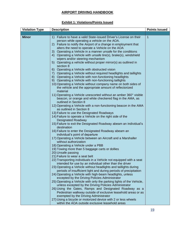# **Exhibit 1: Violations/Points Issued**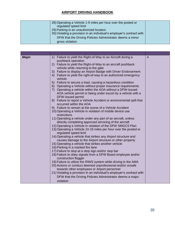| 28) Operating a Vehicle 1-9 miles per hour over the posted or<br>regulated speed limit<br>29) Parking in an unauthorized location<br>30) Violating a provision in an individual's employer's contract with<br>DFW that the Driving Policies Administrator deems a minor<br>gross violation |  |
|--------------------------------------------------------------------------------------------------------------------------------------------------------------------------------------------------------------------------------------------------------------------------------------------|--|
|--------------------------------------------------------------------------------------------------------------------------------------------------------------------------------------------------------------------------------------------------------------------------------------------|--|

| <b>Major</b> | 1) Failure to yield the Right-of-Way to an Aircraft during a          | $\overline{4}$ |
|--------------|-----------------------------------------------------------------------|----------------|
|              | pushback operation                                                    |                |
|              | 2) Failure to yield the Right-of-Way to an aircraft pushback          |                |
|              | vehicle while returning to the gate                                   |                |
|              | 3) Failure to display an Airport Badge with Driver Endorsement        |                |
|              | 4) Failure to yield the right-of-way to an authorized emergency       |                |
|              | vehicle                                                               |                |
|              | 5) Failure to secure a load, causing a hazardous condition            |                |
|              | 6) Operating a Vehicle without proper insurance requirements          |                |
|              | 7) Operating a vehicle within the AOA without a DFW-issued            |                |
|              | AOA vehicle permit or being under escort by a vehicle with a          |                |
|              | <b>DFW-issued permit</b>                                              |                |
|              | 8) Failure to report a Vehicle Accident or environmental spill that   |                |
|              | occurred within the AOA                                               |                |
|              | 9) Failure to remain at the scene of a Vehicle Accident               |                |
|              | 10) Operating a Vehicle in violation of mobile device use             |                |
|              | restrictions                                                          |                |
|              | 11) Operating a vehicle under any part of an aircraft, unless         |                |
|              | directly completing approved servicing of the aircraft                |                |
|              | 12) Operating a Vehicle in violation of the DFW SMGCS Plan            |                |
|              | 13) Operating a Vehicle 10-19 miles per hour over the posted or       |                |
|              | regulated speed limit                                                 |                |
|              | 14) Operating a vehicle that strikes any Airport structure and        |                |
|              | causes damage to the Airport structure or other property              |                |
|              | 15) Operating a vehicle that strikes another vehicle                  |                |
|              | 16) Parking in a marked fire lane                                     |                |
|              | 17) Failure to stop at a stop sign and/or stop bar                    |                |
|              | 18) Failure to obey signals from a DFW Board employee and/or          |                |
|              | construction flagger                                                  |                |
|              | 19) Failure to utilize the RIWS system while driving in the AMA       |                |
|              | 20) Actions or conduct deemed unprofessional and/or unsafe            |                |
|              | towards other employees or Airport personnel                          |                |
|              | 21) Violating a provision in an individual's employer's contract with |                |
|              | DFW that the Driving Policies Administrator deems a major             |                |
|              |                                                                       |                |
|              | violation                                                             |                |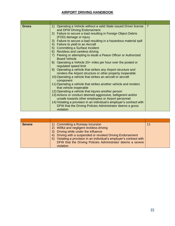| $\overline{7}$<br>Operating a Vehicle without a valid State-issued Driver license<br><b>Gross</b><br>1)<br>and DFW Driving Endorsement<br>Failure to secure a load resulting in Foreign Object Debris<br>2)<br>(FOD) damage or injury<br>3) Failure to secure a load resulting in a hazardous material spill<br>4) Failure to yield to an Aircraft<br>5) Committing a Surface Incident<br>6) Reckless and careless driving<br>Fleeing or attempting to elude a Peace Officer or Authorized<br>7)<br><b>Board Vehicle</b><br>8) Operating a Vehicle 20+ miles per hour over the posted or<br>regulated speed limit<br>9) Operating a vehicle that strikes any Airport structure and<br>renders the Airport structure or other property inoperable<br>10) Operating a vehicle that strikes an aircraft or aircraft<br>component<br>11) Operating a vehicle that strikes another vehicle and renders<br>that vehicle inoperable<br>12) Operating a vehicle that injures another person<br>13) Actions or conduct deemed aggressive, belligerent and/or<br>unsafe towards other employees or Airport personnel<br>14) Violating a provision in an individual's employer's contract with<br>DFW that the Driving Policies Administrator deems a gross<br>violation |  |
|---------------------------------------------------------------------------------------------------------------------------------------------------------------------------------------------------------------------------------------------------------------------------------------------------------------------------------------------------------------------------------------------------------------------------------------------------------------------------------------------------------------------------------------------------------------------------------------------------------------------------------------------------------------------------------------------------------------------------------------------------------------------------------------------------------------------------------------------------------------------------------------------------------------------------------------------------------------------------------------------------------------------------------------------------------------------------------------------------------------------------------------------------------------------------------------------------------------------------------------------------------------|--|

| <b>Severe</b> | 1) Committing a Runway Incursion<br>2) Willful and negligent reckless driving<br>Driving while under the influence<br>3)<br>Driving with a suspended or revoked Driving Endorsement<br>4)<br>Violating a provision in an individual's employer's contract with<br>5)<br>DFW that the Driving Policies Administrator deems a severe<br>violation | 11 |
|---------------|-------------------------------------------------------------------------------------------------------------------------------------------------------------------------------------------------------------------------------------------------------------------------------------------------------------------------------------------------|----|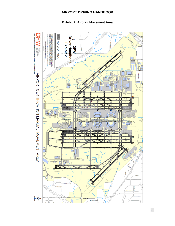# **Exhibit 2: Aircraft Movement Area**